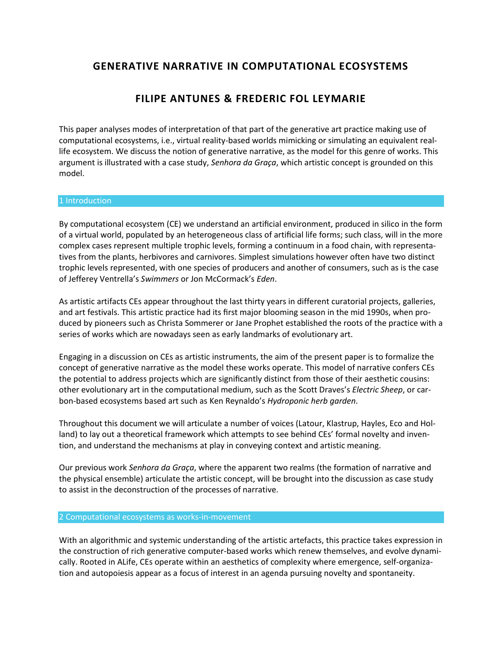# **GENERATIVE NARRATIVE IN COMPUTATIONAL ECOSYSTEMS**

# **FILIPE ANTUNES & FREDERIC FOL LEYMARIE**

This paper analyses modes of interpretation of that part of the generative art practice making use of computational ecosystems, i.e., virtual reality-based worlds mimicking or simulating an equivalent reallife ecosystem. We discuss the notion of generative narrative, as the model for this genre of works. This argument is illustrated with a case study, *Senhora da Graça*, which artistic concept is grounded on this model.

### 1 Introduction

By computational ecosystem (CE) we understand an artificial environment, produced in silico in the form of a virtual world, populated by an heterogeneous class of artificial life forms; such class, will in the more complex cases represent multiple trophic levels, forming a continuum in a food chain, with representatives from the plants, herbivores and carnivores. Simplest simulations however often have two distinct trophic levels represented, with one species of producers and another of consumers, such as is the case of Jefferey Ventrella's *Swimmers* or Jon McCormack's *Eden*.

As artistic artifacts CEs appear throughout the last thirty years in different curatorial projects, galleries, and art festivals. This artistic practice had its first major blooming season in the mid 1990s, when produced by pioneers such as Christa Sommerer or Jane Prophet established the roots of the practice with a series of works which are nowadays seen as early landmarks of evolutionary art.

Engaging in a discussion on CEs as artistic instruments, the aim of the present paper is to formalize the concept of generative narrative as the model these works operate. This model of narrative confers CEs the potential to address projects which are significantly distinct from those of their aesthetic cousins: other evolutionary art in the computational medium, such as the Scott Draves's *Electric Sheep*, or carbon-based ecosystems based art such as Ken Reynaldo's *Hydroponic herb garden*.

Throughout this document we will articulate a number of voices (Latour, Klastrup, Hayles, Eco and Holland) to lay out a theoretical framework which attempts to see behind CEs' formal novelty and invention, and understand the mechanisms at play in conveying context and artistic meaning.

Our previous work *Senhora da Graça*, where the apparent two realms (the formation of narrative and the physical ensemble) articulate the artistic concept, will be brought into the discussion as case study to assist in the deconstruction of the processes of narrative.

#### 2 Computational ecosystems as works-in-movement

With an algorithmic and systemic understanding of the artistic artefacts, this practice takes expression in the construction of rich generative computer-based works which renew themselves, and evolve dynamically. Rooted in ALife, CEs operate within an aesthetics of complexity where emergence, self-organization and autopoiesis appear as a focus of interest in an agenda pursuing novelty and spontaneity.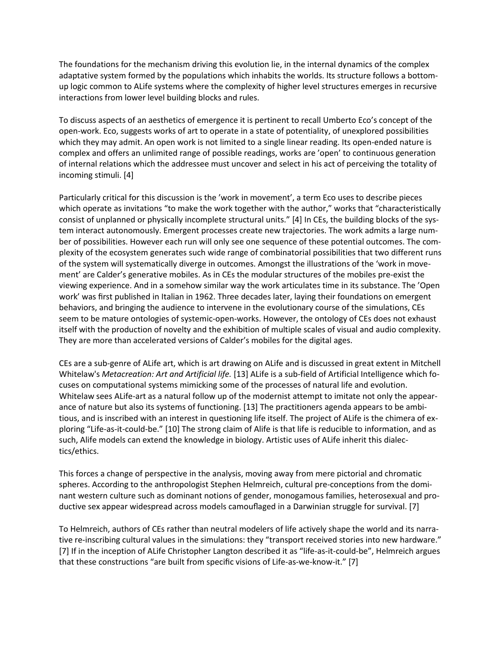The foundations for the mechanism driving this evolution lie, in the internal dynamics of the complex adaptative system formed by the populations which inhabits the worlds. Its structure follows a bottomup logic common to ALife systems where the complexity of higher level structures emerges in recursive interactions from lower level building blocks and rules.

To discuss aspects of an aesthetics of emergence it is pertinent to recall Umberto Eco's concept of the open-work. Eco, suggests works of art to operate in a state of potentiality, of unexplored possibilities which they may admit. An open work is not limited to a single linear reading. Its open-ended nature is complex and offers an unlimited range of possible readings, works are 'open' to continuous generation of internal relations which the addressee must uncover and select in his act of perceiving the totality of incoming stimuli. [4]

Particularly critical for this discussion is the 'work in movement', a term Eco uses to describe pieces which operate as invitations "to make the work together with the author," works that "characteristically consist of unplanned or physically incomplete structural units." [4] In CEs, the building blocks of the system interact autonomously. Emergent processes create new trajectories. The work admits a large number of possibilities. However each run will only see one sequence of these potential outcomes. The complexity of the ecosystem generates such wide range of combinatorial possibilities that two different runs of the system will systematically diverge in outcomes. Amongst the illustrations of the 'work in movement' are Calder's generative mobiles. As in CEs the modular structures of the mobiles pre-exist the viewing experience. And in a somehow similar way the work articulates time in its substance. The 'Open work' was first published in Italian in 1962. Three decades later, laying their foundations on emergent behaviors, and bringing the audience to intervene in the evolutionary course of the simulations, CEs seem to be mature ontologies of systemic-open-works. However, the ontology of CEs does not exhaust itself with the production of novelty and the exhibition of multiple scales of visual and audio complexity. They are more than accelerated versions of Calder's mobiles for the digital ages.

CEs are a sub-genre of ALife art, which is art drawing on ALife and is discussed in great extent in Mitchell Whitelaw's *Metacreation: Art and Artificial life.* [13] ALife is a sub-field of Artificial Intelligence which focuses on computational systems mimicking some of the processes of natural life and evolution. Whitelaw sees ALife-art as a natural follow up of the modernist attempt to imitate not only the appearance of nature but also its systems of functioning. [13] The practitioners agenda appears to be ambitious, and is inscribed with an interest in questioning life itself. The project of ALife is the chimera of exploring "Life-as-it-could-be." [10] The strong claim of Alife is that life is reducible to information, and as such, Alife models can extend the knowledge in biology. Artistic uses of ALife inherit this dialectics/ethics.

This forces a change of perspective in the analysis, moving away from mere pictorial and chromatic spheres. According to the anthropologist Stephen Helmreich, cultural pre-conceptions from the dominant western culture such as dominant notions of gender, monogamous families, heterosexual and productive sex appear widespread across models camouflaged in a Darwinian struggle for survival. [7]

To Helmreich, authors of CEs rather than neutral modelers of life actively shape the world and its narrative re-inscribing cultural values in the simulations: they "transport received stories into new hardware." [7] If in the inception of ALife Christopher Langton described it as "life-as-it-could-be", Helmreich argues that these constructions "are built from specific visions of Life-as-we-know-it." [7]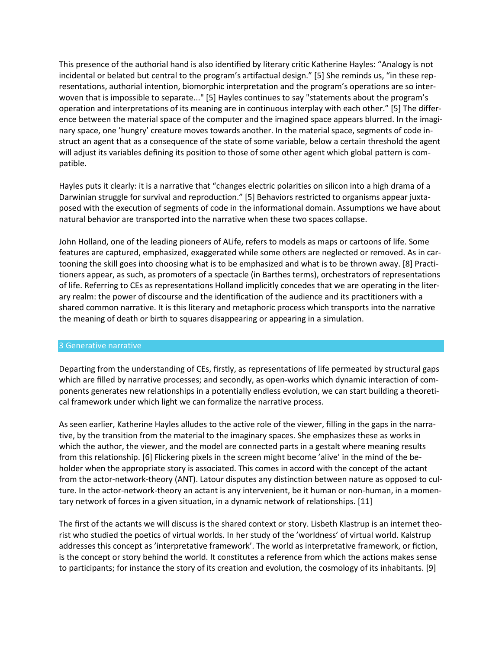This presence of the authorial hand is also identified by literary critic Katherine Hayles: "Analogy is not incidental or belated but central to the program's artifactual design." [5] She reminds us, "in these representations, authorial intention, biomorphic interpretation and the program's operations are so interwoven that is impossible to separate..." [5] Hayles continues to say "statements about the program's operation and interpretations of its meaning are in continuous interplay with each other." [5] The difference between the material space of the computer and the imagined space appears blurred. In the imaginary space, one 'hungry' creature moves towards another. In the material space, segments of code instruct an agent that as a consequence of the state of some variable, below a certain threshold the agent will adjust its variables defining its position to those of some other agent which global pattern is compatible.

Hayles puts it clearly: it is a narrative that "changes electric polarities on silicon into a high drama of a Darwinian struggle for survival and reproduction." [5] Behaviors restricted to organisms appear juxtaposed with the execution of segments of code in the informational domain. Assumptions we have about natural behavior are transported into the narrative when these two spaces collapse.

John Holland, one of the leading pioneers of ALife, refers to models as maps or cartoons of life. Some features are captured, emphasized, exaggerated while some others are neglected or removed. As in cartooning the skill goes into choosing what is to be emphasized and what is to be thrown away. [8] Practitioners appear, as such, as promoters of a spectacle (in Barthes terms), orchestrators of representations of life. Referring to CEs as representations Holland implicitly concedes that we are operating in the literary realm: the power of discourse and the identification of the audience and its practitioners with a shared common narrative. It is this literary and metaphoric process which transports into the narrative the meaning of death or birth to squares disappearing or appearing in a simulation.

#### 3 Generative narrative

Departing from the understanding of CEs, firstly, as representations of life permeated by structural gaps which are filled by narrative processes; and secondly, as open-works which dynamic interaction of components generates new relationships in a potentially endless evolution, we can start building a theoretical framework under which light we can formalize the narrative process.

As seen earlier, Katherine Hayles alludes to the active role of the viewer, filling in the gaps in the narrative, by the transition from the material to the imaginary spaces. She emphasizes these as works in which the author, the viewer, and the model are connected parts in a gestalt where meaning results from this relationship. [6] Flickering pixels in the screen might become 'alive' in the mind of the beholder when the appropriate story is associated. This comes in accord with the concept of the actant from the actor-network-theory (ANT). Latour disputes any distinction between nature as opposed to culture. In the actor-network-theory an actant is any intervenient, be it human or non-human, in a momentary network of forces in a given situation, in a dynamic network of relationships. [11]

The first of the actants we will discuss is the shared context or story. Lisbeth Klastrup is an internet theorist who studied the poetics of virtual worlds. In her study of the 'worldness' of virtual world. Kalstrup addresses this concept as 'interpretative framework'. The world as interpretative framework, or fiction, is the concept or story behind the world. It constitutes a reference from which the actions makes sense to participants; for instance the story of its creation and evolution, the cosmology of its inhabitants. [9]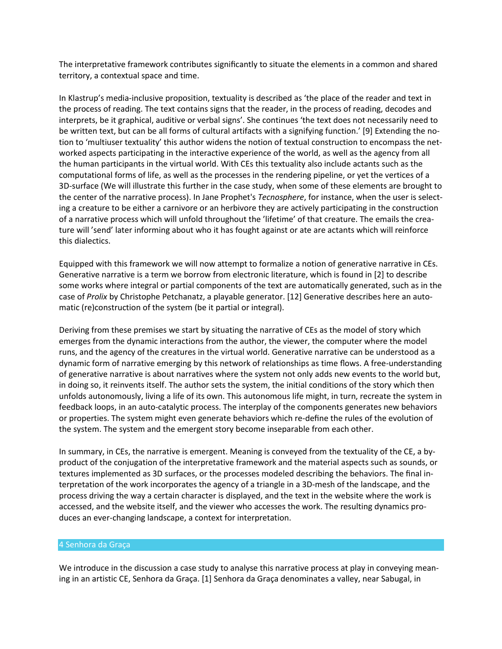The interpretative framework contributes significantly to situate the elements in a common and shared territory, a contextual space and time.

In Klastrup's media-inclusive proposition, textuality is described as 'the place of the reader and text in the process of reading. The text contains signs that the reader, in the process of reading, decodes and interprets, be it graphical, auditive or verbal signs'. She continues 'the text does not necessarily need to be written text, but can be all forms of cultural artifacts with a signifying function.' [9] Extending the notion to 'multiuser textuality' this author widens the notion of textual construction to encompass the networked aspects participating in the interactive experience of the world, as well as the agency from all the human participants in the virtual world. With CEs this textuality also include actants such as the computational forms of life, as well as the processes in the rendering pipeline, or yet the vertices of a 3D-surface (We will illustrate this further in the case study, when some of these elements are brought to the center of the narrative process). In Jane Prophet's *Tecnosphere*, for instance, when the user is selecting a creature to be either a carnivore or an herbivore they are actively participating in the construction of a narrative process which will unfold throughout the 'lifetime' of that creature. The emails the creature will 'send' later informing about who it has fought against or ate are actants which will reinforce this dialectics.

Equipped with this framework we will now attempt to formalize a notion of generative narrative in CEs. Generative narrative is a term we borrow from electronic literature, which is found in [2] to describe some works where integral or partial components of the text are automatically generated, such as in the case of *Prolix* by Christophe Petchanatz, a playable generator. [12] Generative describes here an automatic (re)construction of the system (be it partial or integral).

Deriving from these premises we start by situating the narrative of CEs as the model of story which emerges from the dynamic interactions from the author, the viewer, the computer where the model runs, and the agency of the creatures in the virtual world. Generative narrative can be understood as a dynamic form of narrative emerging by this network of relationships as time flows. A free-understanding of generative narrative is about narratives where the system not only adds new events to the world but, in doing so, it reinvents itself. The author sets the system, the initial conditions of the story which then unfolds autonomously, living a life of its own. This autonomous life might, in turn, recreate the system in feedback loops, in an auto-catalytic process. The interplay of the components generates new behaviors or properties. The system might even generate behaviors which re-define the rules of the evolution of the system. The system and the emergent story become inseparable from each other.

In summary, in CEs, the narrative is emergent. Meaning is conveyed from the textuality of the CE, a byproduct of the conjugation of the interpretative framework and the material aspects such as sounds, or textures implemented as 3D surfaces, or the processes modeled describing the behaviors. The final interpretation of the work incorporates the agency of a triangle in a 3D-mesh of the landscape, and the process driving the way a certain character is displayed, and the text in the website where the work is accessed, and the website itself, and the viewer who accesses the work. The resulting dynamics produces an ever-changing landscape, a context for interpretation.

#### 4 Senhora da Graça

We introduce in the discussion a case study to analyse this narrative process at play in conveying meaning in an artistic CE, Senhora da Graça. [1] Senhora da Graça denominates a valley, near Sabugal, in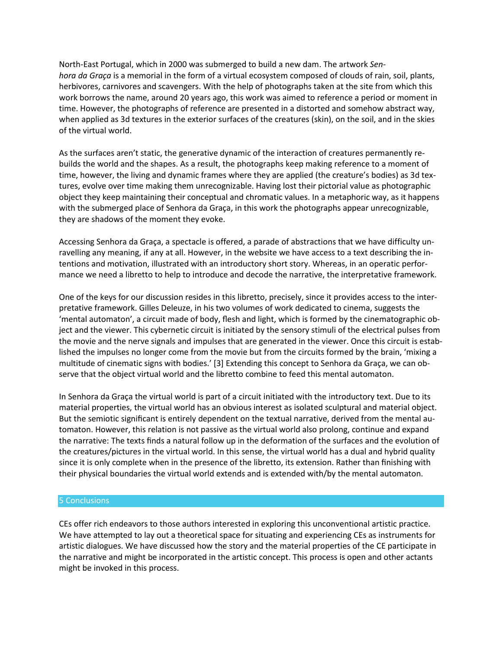North-East Portugal, which in 2000 was submerged to build a new dam. The artwork *Senhora da Graça* is a memorial in the form of a virtual ecosystem composed of clouds of rain, soil, plants, herbivores, carnivores and scavengers. With the help of photographs taken at the site from which this work borrows the name, around 20 years ago, this work was aimed to reference a period or moment in time. However, the photographs of reference are presented in a distorted and somehow abstract way, when applied as 3d textures in the exterior surfaces of the creatures (skin), on the soil, and in the skies of the virtual world.

As the surfaces aren't static, the generative dynamic of the interaction of creatures permanently rebuilds the world and the shapes. As a result, the photographs keep making reference to a moment of time, however, the living and dynamic frames where they are applied (the creature's bodies) as 3d textures, evolve over time making them unrecognizable. Having lost their pictorial value as photographic object they keep maintaining their conceptual and chromatic values. In a metaphoric way, as it happens with the submerged place of Senhora da Graça, in this work the photographs appear unrecognizable, they are shadows of the moment they evoke.

Accessing Senhora da Graça, a spectacle is offered, a parade of abstractions that we have difficulty unravelling any meaning, if any at all. However, in the website we have access to a text describing the intentions and motivation, illustrated with an introductory short story. Whereas, in an operatic performance we need a libretto to help to introduce and decode the narrative, the interpretative framework.

One of the keys for our discussion resides in this libretto, precisely, since it provides access to the interpretative framework. Gilles Deleuze, in his two volumes of work dedicated to cinema, suggests the 'mental automaton', a circuit made of body, flesh and light, which is formed by the cinematographic object and the viewer. This cybernetic circuit is initiated by the sensory stimuli of the electrical pulses from the movie and the nerve signals and impulses that are generated in the viewer. Once this circuit is established the impulses no longer come from the movie but from the circuits formed by the brain, 'mixing a multitude of cinematic signs with bodies.' [3] Extending this concept to Senhora da Graça, we can observe that the object virtual world and the libretto combine to feed this mental automaton.

In Senhora da Graça the virtual world is part of a circuit initiated with the introductory text. Due to its material properties, the virtual world has an obvious interest as isolated sculptural and material object. But the semiotic significant is entirely dependent on the textual narrative, derived from the mental automaton. However, this relation is not passive as the virtual world also prolong, continue and expand the narrative: The texts finds a natural follow up in the deformation of the surfaces and the evolution of the creatures/pictures in the virtual world. In this sense, the virtual world has a dual and hybrid quality since it is only complete when in the presence of the libretto, its extension. Rather than finishing with their physical boundaries the virtual world extends and is extended with/by the mental automaton.

#### 5 Conclusions

CEs offer rich endeavors to those authors interested in exploring this unconventional artistic practice. We have attempted to lay out a theoretical space for situating and experiencing CEs as instruments for artistic dialogues. We have discussed how the story and the material properties of the CE participate in the narrative and might be incorporated in the artistic concept. This process is open and other actants might be invoked in this process.